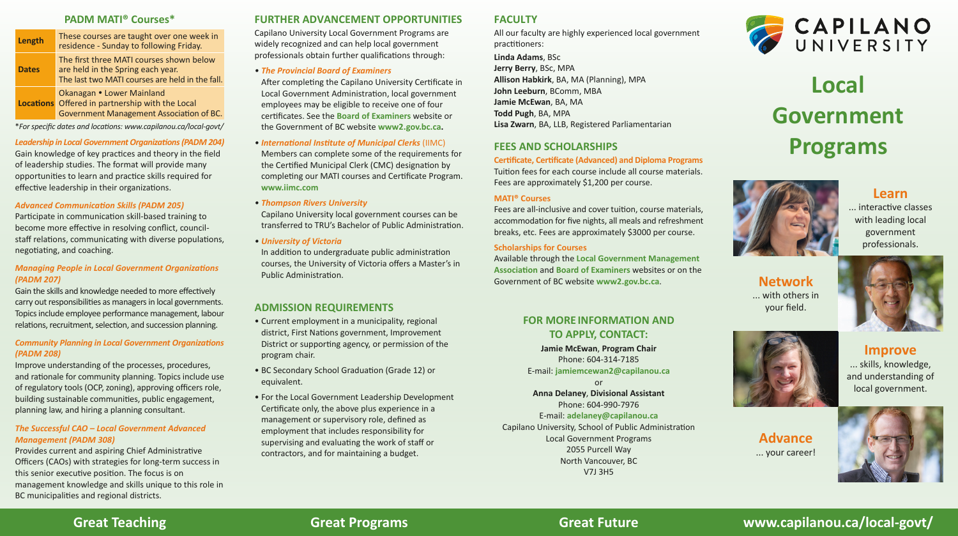### **Great Teaching Great Programs Great Future www.capilanou.ca/local-govt/**

#### **Managing People in Local Government Organizations** *(PADM 207)*

Gain the skills and knowledge needed to more effectively carry out responsibilities as managers in local governments. Topics include employee performance management, labour relations, recruitment, selection, and succession planning.

#### *Community Planning in Local Government Organizations (PADM 208)*

Capilano University Local Government Programs are widely recognized and can help local government professionals obtain further qualifications through:

Improve understanding of the processes, procedures, and rationale for community planning. Topics include use of regulatory tools (OCP, zoning), approving officers role, building sustainable communities, public engagement, planning law, and hiring a planning consultant.

After completing the Capilano University Certificate in Local Government Administration, local government employees may be eligible to receive one of four cer�ficates. See the **[Board of Examiners](https://www2.gov.bc.ca/gov/content/governments/local-governments/governance-powers/councils-boards/officers-employees/learning?keyword=board&keyword=of&keyword=examiners)** website or the Government of BC website **[www2.gov.bc.ca.](https://www2.gov.bc.ca/gov/content/home)**

#### *The Successful CAO – Local Government Advanced Management (PADM 308)*

Provides current and aspiring Chief Administrative Officers (CAOs) with strategies for long-term success in this senior executive position. The focus is on management knowledge and skills unique to this role in BC municipalities and regional districts.

Capilano University local government courses can be transferred to TRU's Bachelor of Public Administration.

*• University of Victoria* In addition to undergraduate public administration courses, the University of Victoria offers a Master's in Public Administration.

#### **PADM MATI® Courses\***

| Length       | These courses are taught over one week in<br>residence - Sunday to following Friday.                                             |
|--------------|----------------------------------------------------------------------------------------------------------------------------------|
| <b>Dates</b> | The first three MATI courses shown below<br>are held in the Spring each year.<br>The last two MATI courses are held in the fall. |
|              | Okanagan • Lower Mainland<br>Locations Offered in partnership with the Local<br>Government Management Association of BC.         |

\**For specific dates and loca�ons: [www.capilanou.ca/local-govt/](https://capilanou.ca/programs--courses/search--select/explore-our-areas-of-study/global--community-studies/school-of-public-administration/?tab=tab-courses)*

**Leadership in Local Government Organizations (PADM 204)** Gain knowledge of key prac�ces and theory in the field of leadership studies. The format will provide many opportuni�es to learn and prac�ce skills required for effective leadership in their organizations.

#### **Advanced Communication Skills (PADM 205)**

Participate in communication skill-based training to become more effective in resolving conflict, councilstaff relations, communicating with diverse populations, negotiating, and coaching.

#### **FURTHER ADVANCEMENT OPPORTUNITIES**

Fees are all-inclusive and cover tuition, course materials, accommodation for five nights, all meals and refreshment breaks, etc. Fees are approximately \$3000 per course.

#### *• The Provincial Board of Examiners*

... interactive classes with leading local government professionals.





- *• Interna�onal Ins�tute of Municipal Clerks* (IIMC) Members can complete some of the requirements for the Certified Municipal Clerk (CMC) designation by completing our MATI courses and Certificate Program. **[www.iimc.com](https://www.iimc.com/)**
- *• Thompson Rivers University*

#### **ADMISSION REQUIREMENTS**

- Current employment in a municipality, regional district, First Nations government, Improvement District or supporting agency, or permission of the program chair.
- BC Secondary School Graduation (Grade 12) or equivalent.
- For the Local Government Leadership Development Certificate only, the above plus experience in a management or supervisory role, defined as employment that includes responsibility for supervising and evaluating the work of staff or contractors, and for maintaining a budget.

#### **FACULTY**

All our faculty are highly experienced local government practitioners: **Linda Adams**, BSc **Jerry Berry**, BSc, MPA **Allison Habkirk**, BA, MA (Planning), MPA **John Leeburn**, BComm, MBA **Jamie McEwan**, BA, MA **Todd Pugh**, BA, MPA

**Lisa Zwarn**, BA, LLB, Registered Parliamentarian

#### **FEES AND SCHOLARSHIPS**

**Cer�ficate, Cer�ficate (Advanced) and Diploma Programs** Tuition fees for each course include all course materials. Fees are approximately \$1,200 per course.

#### **MATI® Courses**

#### **Scholarships for Courses**

Available through the **[Local Government Management](https://www.lgma.ca/scholarships) [Associa�on](https://www.lgma.ca/scholarships)** and **[Board of Examiners](https://www2.gov.bc.ca/gov/content/governments/local-governments/governance-powers/councils-boards/officers-employees/learning?keyword=board&keyword=of&keyword=examiners)** websites or on the Government of BC website **[www2.gov.bc.ca](https://www2.gov.bc.ca/gov/content/home)**.





**Jamie McEwan**, **Program Chair** Phone: 604-314-7185 E-mail: **[jamiemcewan2@capilanou.ca](mailto:jamiemcewan2@capilanou.ca)**

or

**Anna Delaney**, **Divisional Assistant** Phone: 604-990-7976 E-mail: **[adelaney@capilanou.ca](mailto:adelaney@capilanou.ca)** Capilano University, School of Public Administration Local Government Programs 2055 Purcell Way North Vancouver, BC V7J 3H5





# CAPILANO

## **Local Government Programs**



#### **Learn**

**Network** ... with others in your field.

> **Improve** ... skills, knowledge, and understanding of local government.



**Advance** ... your career!